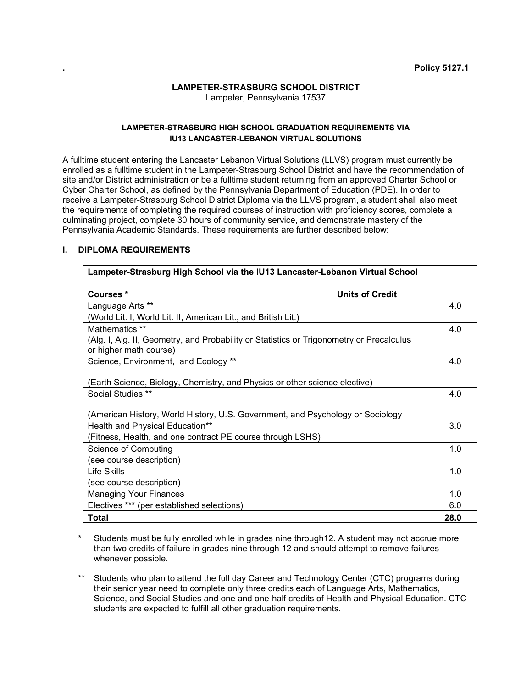#### **LAMPETER-STRASBURG SCHOOL DISTRICT**  Lampeter, Pennsylvania 17537

# **LAMPETER-STRASBURG HIGH SCHOOL GRADUATION REQUIREMENTS VIA IU13 LANCASTER-LEBANON VIRTUAL SOLUTIONS**

A fulltime student entering the Lancaster Lebanon Virtual Solutions (LLVS) program must currently be enrolled as a fulltime student in the Lampeter-Strasburg School District and have the recommendation of site and/or District administration or be a fulltime student returning from an approved Charter School or Cyber Charter School, as defined by the Pennsylvania Department of Education (PDE). In order to receive a Lampeter-Strasburg School District Diploma via the LLVS program, a student shall also meet the requirements of completing the required courses of instruction with proficiency scores, complete a culminating project, complete 30 hours of community service, and demonstrate mastery of the Pennsylvania Academic Standards. These requirements are further described below:

# **I. DIPLOMA REQUIREMENTS**

| Lampeter-Strasburg High School via the IU13 Lancaster-Lebanon Virtual School                                       |                        |      |
|--------------------------------------------------------------------------------------------------------------------|------------------------|------|
|                                                                                                                    |                        |      |
| Courses*                                                                                                           | <b>Units of Credit</b> |      |
| Language Arts **                                                                                                   |                        | 4.0  |
| (World Lit. I, World Lit. II, American Lit., and British Lit.)                                                     |                        |      |
| Mathematics **                                                                                                     |                        | 4.0  |
| (Alg. I, Alg. II, Geometry, and Probability or Statistics or Trigonometry or Precalculus<br>or higher math course) |                        |      |
| Science, Environment, and Ecology **                                                                               |                        | 4.0  |
| (Earth Science, Biology, Chemistry, and Physics or other science elective)                                         |                        |      |
| <b>Social Studies **</b>                                                                                           |                        | 4.0  |
|                                                                                                                    |                        |      |
| (American History, World History, U.S. Government, and Psychology or Sociology                                     |                        |      |
| Health and Physical Education**                                                                                    |                        | 3.0  |
| (Fitness, Health, and one contract PE course through LSHS)                                                         |                        |      |
| Science of Computing                                                                                               |                        | 1.0  |
| (see course description)                                                                                           |                        |      |
| Life Skills                                                                                                        |                        | 1.0  |
| (see course description)                                                                                           |                        |      |
| <b>Managing Your Finances</b>                                                                                      |                        | 1.0  |
| Electives *** (per established selections)                                                                         |                        | 6.0  |
| <b>Total</b>                                                                                                       |                        | 28.0 |

- Students must be fully enrolled while in grades nine through12. A student may not accrue more than two credits of failure in grades nine through 12 and should attempt to remove failures whenever possible.
- \*\* Students who plan to attend the full day Career and Technology Center (CTC) programs during their senior year need to complete only three credits each of Language Arts, Mathematics, Science, and Social Studies and one and one-half credits of Health and Physical Education. CTC students are expected to fulfill all other graduation requirements.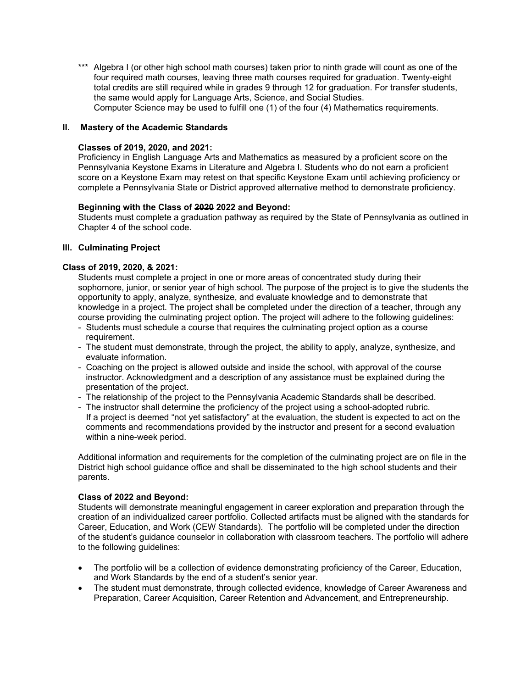\*\*\* Algebra I (or other high school math courses) taken prior to ninth grade will count as one of the four required math courses, leaving three math courses required for graduation. Twenty-eight total credits are still required while in grades 9 through 12 for graduation. For transfer students, the same would apply for Language Arts, Science, and Social Studies. Computer Science may be used to fulfill one (1) of the four (4) Mathematics requirements.

## **II. Mastery of the Academic Standards**

#### **Classes of 2019, 2020, and 2021:**

Proficiency in English Language Arts and Mathematics as measured by a proficient score on the Pennsylvania Keystone Exams in Literature and Algebra I. Students who do not earn a proficient score on a Keystone Exam may retest on that specific Keystone Exam until achieving proficiency or complete a Pennsylvania State or District approved alternative method to demonstrate proficiency.

#### **Beginning with the Class of 2020 2022 and Beyond:**

Students must complete a graduation pathway as required by the State of Pennsylvania as outlined in Chapter 4 of the school code.

#### **III. Culminating Project**

## **Class of 2019, 2020, & 2021:**

 Students must complete a project in one or more areas of concentrated study during their sophomore, junior, or senior year of high school. The purpose of the project is to give the students the opportunity to apply, analyze, synthesize, and evaluate knowledge and to demonstrate that knowledge in a project. The project shall be completed under the direction of a teacher, through any course providing the culminating project option. The project will adhere to the following guidelines:

- Students must schedule a course that requires the culminating project option as a course requirement.
- The student must demonstrate, through the project, the ability to apply, analyze, synthesize, and evaluate information.
- Coaching on the project is allowed outside and inside the school, with approval of the course instructor. Acknowledgment and a description of any assistance must be explained during the presentation of the project.
- The relationship of the project to the Pennsylvania Academic Standards shall be described.
- The instructor shall determine the proficiency of the project using a school-adopted rubric. If a project is deemed "not yet satisfactory" at the evaluation, the student is expected to act on the comments and recommendations provided by the instructor and present for a second evaluation within a nine-week period.

 Additional information and requirements for the completion of the culminating project are on file in the District high school guidance office and shall be disseminated to the high school students and their parents.

## **Class of 2022 and Beyond:**

Students will demonstrate meaningful engagement in career exploration and preparation through the creation of an individualized career portfolio. Collected artifacts must be aligned with the standards for Career, Education, and Work (CEW Standards). The portfolio will be completed under the direction of the student's guidance counselor in collaboration with classroom teachers. The portfolio will adhere to the following guidelines:

- The portfolio will be a collection of evidence demonstrating proficiency of the Career, Education, and Work Standards by the end of a student's senior year.
- The student must demonstrate, through collected evidence, knowledge of Career Awareness and Preparation, Career Acquisition, Career Retention and Advancement, and Entrepreneurship.